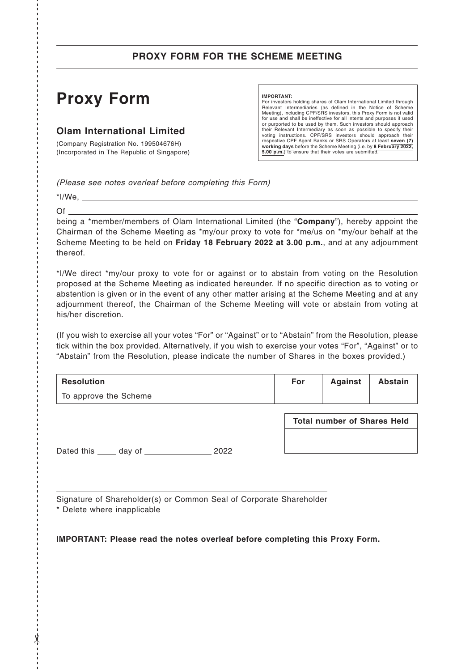## **PROXY FORM FOR THE SCHEME MEETING**

# **Proxy Form**

### **Olam International Limited**

(Company Registration No. 199504676H) (Incorporated in The Republic of Singapore)

#### **IMPORTANT:**

For investors holding shares of Olam International Limited through Relevant Intermediaries (as defined in the Notice of Scheme<br>Meeting), including CPF/SRS investors, this Proxy Form is not valid<br>for use and shall be ineffective for all intents and purposes if used or purported to be used by them. Such investors should approach their Relevant Intermediary as soon as possible to specify their voting instructions. CPF/SRS investors should approach their respective CPF Agent Banks or SRS Operators at least **seven (7) working days** before the Scheme Meeting (i.e. by **8 February 2022, 5.00 p.m.**) to ensure that their votes are submitted.

*(Please see notes overleaf before completing this Form)*

 $*$ I/We,  $\_\_$ Of

------------------------------------------------------------------------------------------------------------------------------- ------------- - ✂

y

being a \*member/members of Olam International Limited (the "**Company**"), hereby appoint the Chairman of the Scheme Meeting as \*my/our proxy to vote for \*me/us on \*my/our behalf at the Scheme Meeting to be held on **Friday 18 February 2022 at 3.00 p.m.**, and at any adjournment thereof.

\*I/We direct \*my/our proxy to vote for or against or to abstain from voting on the Resolution proposed at the Scheme Meeting as indicated hereunder. If no specific direction as to voting or abstention is given or in the event of any other matter arising at the Scheme Meeting and at any adjournment thereof, the Chairman of the Scheme Meeting will vote or abstain from voting at his/her discretion.

(If you wish to exercise all your votes "For" or "Against" or to "Abstain" from the Resolution, please tick within the box provided. Alternatively, if you wish to exercise your votes "For", "Against" or to "Abstain" from the Resolution, please indicate the number of Shares in the boxes provided.)

| ' Resolution          | For | Against | <b>Abstain</b> |
|-----------------------|-----|---------|----------------|
| To approve the Scheme |     |         |                |

Dated this \_\_\_\_\_ day of \_\_\_\_\_\_\_\_\_\_\_\_\_\_\_\_\_\_ 2022

**Total number of Shares Held**

Signature of Shareholder(s) or Common Seal of Corporate Shareholder

\* Delete where inapplicable

**IMPORTANT: Please read the notes overleaf before completing this Proxy Form.**